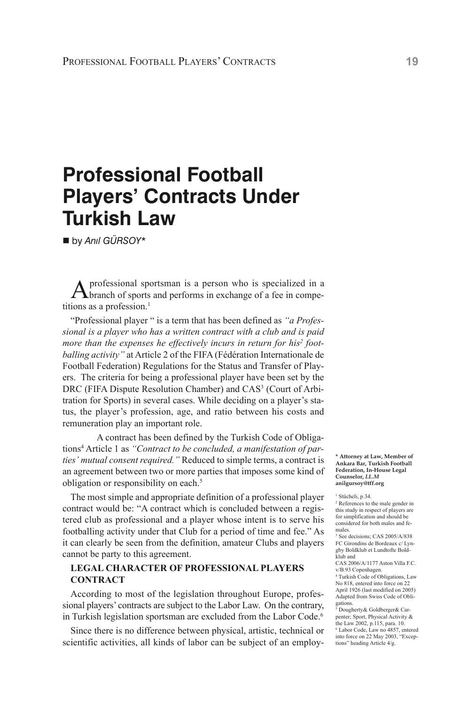# **Professional Football Players' Contracts Under Turkish Law**

n by *Anıl GÜRSOY\**

Aprofessional sportsman is <sup>a</sup> person who is specialized in <sup>a</sup> branch of sports and performs in exchange of a fee in competitions as a profession. 1

"Professional player " is a term that has been defined as *"a Professional is a player who has a written contract with a club and is paid more than the expenses he effectively incurs in return for his2 footballing activity"* at Article 2 of the FIFA (Fédération Internationale de Football Federation) Regulations for the Status and Transfer of Players. The criteria for being a professional player have been set by the DRC (FIFA Dispute Resolution Chamber) and CAS<sup>3</sup> (Court of Arbitration for Sports) in several cases. While deciding on a player's status, the player's profession, age, and ratio between his costs and remuneration play an important role.

A contract has been defined by the Turkish Code of Obligations4 Article 1 as *"Contract to be concluded, a manifestation of parties' mutual consent required."* Reduced to simple terms, a contract is an agreement between two or more parties that imposes some kind of obligation or responsibility on each. 5

The most simple and appropriate definition of a professional player contract would be: "A contract which is concluded between a registered club as professional and a player whose intent is to serve his footballing activity under that Club for a period of time and fee." As it can clearly be seen from the definition, amateur Clubs and players cannot be party to this agreement.

## **LEGAL CHARACTER Of pROfESSIONAL pLAyERS CONTRACT**

According to most of the legislation throughout Europe, professional players' contracts are subject to the Labor Law. On the contrary, in Turkish legislation sportsman are excluded from the Labor Code. 6

Since there is no difference between physical, artistic, technical or scientific activities, all kinds of labor can be subject of an employ-

**\* Attorney at Law, Member of Ankara Bar, Turkish Football Federation, In-House Legal Counselor,** *LL.M* **anilgursoy@tff.org**

<sup>1</sup> Stücheli, p.34.

<sup>2</sup> References to the male gender in this study in respect of players are for simplification and should be considered for both males and females.

See decisions; CAS 2005/A/838 FC Girondins de Bordeaux c/ Lyngby Boldklub et Lundtofte Boldklub and

CAS 2006/A/1177 Aston Villa F.C. v/B.93 Copenhagen.

<sup>4</sup> Turkish Code of Obligations, Law No 818, entered into force on 22 April 1926 (last modified on 2005) Adapted from Swiss Code of Obli-

gations.<br><sup>5</sup> Dougherty& Goldberger& Carpenter; Sport, Physical Activity & the Law 2002, p.115, para. 10. <sup>6</sup> Labor Code, Law no 4857, entered into force on 22 May 2003, "Exceptions" heading Article 4/g.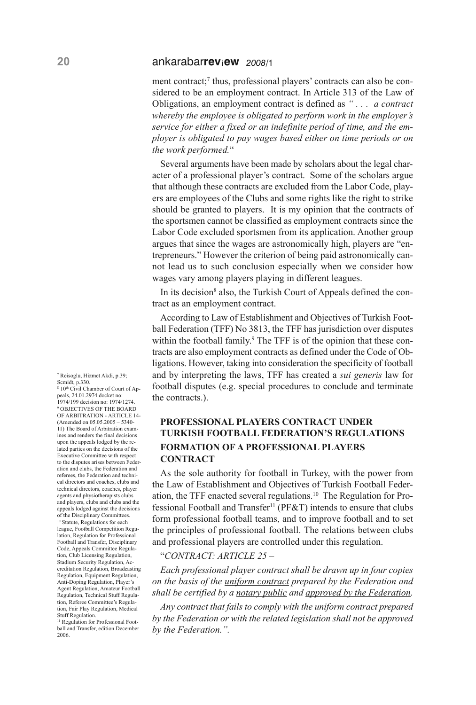ment contract; <sup>7</sup> thus, professional players' contracts can also be considered to be an employment contract. In Article 313 of the Law of Obligations, an employment contract is defined as *" . . . a contract whereby the employee is obligated to perform work in the employer's service for either a fixed or an indefinite period of time, and the employer is obligated to pay wages based either on time periods or on the work performed.*"

Several arguments have been made by scholars about the legal character of a professional player's contract. Some of the scholars argue that although these contracts are excluded from the Labor Code, players are employees of the Clubs and some rights like the right to strike should be granted to players. It is my opinion that the contracts of the sportsmen cannot be classified as employment contracts since the Labor Code excluded sportsmen from its application. Another group argues that since the wages are astronomically high, players are "entrepreneurs." However the criterion of being paid astronomically cannot lead us to such conclusion especially when we consider how wages vary among players playing in different leagues.

In its decision<sup>8</sup> also, the Turkish Court of Appeals defined the contract as an employment contract.

According to Law of Establishment and Objectives of Turkish Football Federation (TFF) No 3813, the TFF has jurisdiction over disputes within the football family.<sup>9</sup> The TFF is of the opinion that these contracts are also employment contracts as defined under the Code of Obligations. However, taking into consideration the specificity of football and by interpreting the laws, TFF has created a *sui generis* law for football disputes (e.g. special procedures to conclude and terminate the contracts.).

# **pROfESSIONAL pLAyERS CONTRACT UNDER TURkISH fOOTBALL fEDERATION'S REGULATIONS fORMATION Of A pROfESSIONAL pLAyERS CONTRACT**

As the sole authority for football in Turkey, with the power from the Law of Establishment and Objectives of Turkish Football Federation, the TFF enacted several regulations. <sup>10</sup> The Regulation for Professional Football and Transfer<sup>11</sup> (PF&T) intends to ensure that clubs form professional football teams, and to improve football and to set the principles of professional football. The relations between clubs and professional players are controlled under this regulation.

## "*CONTRACT: ARTICLE 25 –*

*Each professional player contract shall be drawn up in four copies on the basis of the uniform contract prepared by the Federation and shall be certified by a notary public and approved by the Federation.*

*Any contract that fails to comply with the uniform contract prepared by the Federation or with the related legislation shall not be approved by the Federation.".*

<sup>7</sup> Reisoglu, Hizmet Akdi, p.39; Scmidt, p.330.

8 10th Civil Chamber of Court of Appeals, 24.01.2974 docket no: 1974/199 decision no: 1974/1274. <sup>9</sup> OBJECTIVES OF THE BOARD OF ARBITRATION - ARTICLE 14- (Amended on 05.05.2005 – 5340- 11) The Board of Arbitration examines and renders the final decisions upon the appeals lodged by the related parties on the decisions of the Executive Committee with respect to the disputes arises between Federation and clubs, the Federation and referees, the Federation and technical directors and coaches, clubs and technical directors, coaches, player agents and physiotherapists clubs and players, clubs and clubs and the appeals lodged against the decisions of the Disciplinary Committees. <sup>10</sup> Statute, Regulations for each league, Football Competition Regulation, Regulation for Professional Football and Transfer, Disciplinary Code, Appeals Committee Regulation, Club Licensing Regulation, Stadium Security Regulation, Accreditation Regulation, Broadcasting Regulation, Equipment Regulation, Anti-Doping Regulation, Player's Agent Regulation, Amateur Football Regulation, Technical Stuff Regulation, Referee Committee's Regulation, Fair Play Regulation, Medical Stuff Regulation.

<sup>11</sup> Regulation for Professional Football and Transfer, edition December 2006.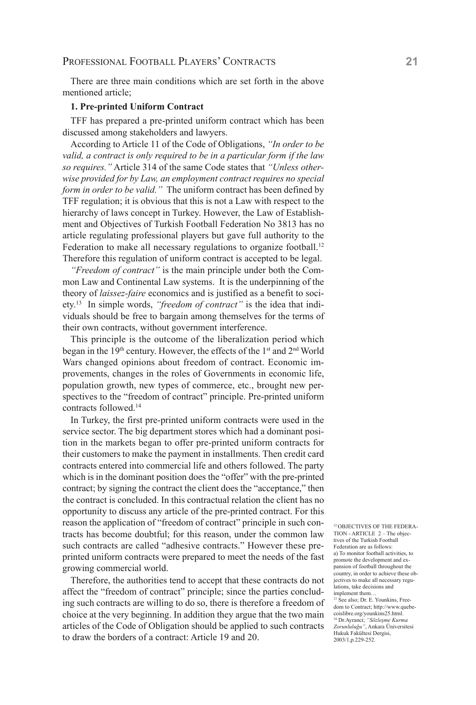There are three main conditions which are set forth in the above mentioned article;

#### **1. pre-printed Uniform Contract**

TFF has prepared a pre-printed uniform contract which has been discussed among stakeholders and lawyers.

According to Article 11 of the Code of Obligations, *"In order to be valid, a contract is only required to be in a particular form if the law so requires."* Article 314 of the same Code states that *"Unless otherwise provided for by Law, an employment contract requires no special form in order to be valid."* The uniform contract has been defined by TFF regulation; it is obvious that this is not a Law with respect to the hierarchy of laws concept in Turkey. However, the Law of Establishment and Objectives of Turkish Football Federation No 3813 has no article regulating professional players but gave full authority to the Federation to make all necessary regulations to organize football.<sup>12</sup> Therefore this regulation of uniform contract is accepted to be legal.

*"Freedom of contract"* is the main principle under both the Common Law and Continental Law systems. It is the underpinning of the theory of *laissez-faire* economics and is justified as a benefit to society. <sup>13</sup> In simple words, *"freedom of contract"* is the idea that individuals should be free to bargain among themselves for the terms of their own contracts, without government interference.

This principle is the outcome of the liberalization period which began in the 19<sup>th</sup> century. However, the effects of the 1<sup>st</sup> and 2<sup>nd</sup> World Wars changed opinions about freedom of contract. Economic improvements, changes in the roles of Governments in economic life, population growth, new types of commerce, etc., brought new perspectives to the "freedom of contract" principle. Pre-printed uniform contracts followed. 14

In Turkey, the first pre-printed uniform contracts were used in the service sector. The big department stores which had a dominant position in the markets began to offer pre-printed uniform contracts for their customers to make the payment in installments. Then credit card contracts entered into commercial life and others followed. The party which is in the dominant position does the "offer" with the pre-printed contract; by signing the contract the client does the "acceptance," then the contract is concluded. In this contractual relation the client has no opportunity to discuss any article of the pre-printed contract. For this reason the application of "freedom of contract" principle in such contracts has become doubtful; for this reason, under the common law such contracts are called "adhesive contracts." However these preprinted uniform contracts were prepared to meet the needs of the fast growing commercial world.

Therefore, the authorities tend to accept that these contracts do not affect the "freedom of contract" principle; since the parties concluding such contracts are willing to do so, there is therefore a freedom of choice at the very beginning. In addition they argue that the two main articles of the Code of Obligation should be applied to such contracts to draw the borders of a contract: Article 19 and 20.

<sup>12</sup> OBJECTIVES OF THE FEDERA-TION - ARTICLE 2 – The objectives of the Turkish Football Federation are as follows: a) To monitor football activities, to promote the development and expansion of football throughout the country, in order to achieve these objectives to make all necessary regulations, take decisions and implement them… <sup>13</sup> See also; Dr. E. Younkins, Free-

dom to Contract; http://www.quebecoislibre.org/younkins25.html.

<sup>14</sup> Dr.Ayranci; *"Sözleşme Kurma Zorunluluğu"*, Ankara Üniversitesi Hukuk Fakültesi Dergisi, 2003/1,p.229-252.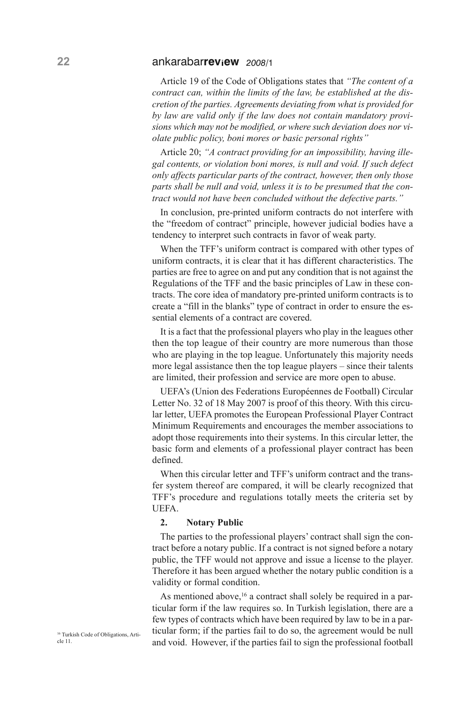Article 19 of the Code of Obligations states that *"The content of a contract can, within the limits of the law, be established at the discretion of the parties. Agreements deviating from what is provided for by law are valid only if the law does not contain mandatory provisions which may not be modified, or where such deviation does nor violate public policy, boni mores or basic personal rights"*

Article 20; *"A contract providing for an impossibility, having illegal contents, or violation boni mores, is null and void. If such defect only affects particular parts of the contract, however, then only those parts shall be null and void, unless it is to be presumed that the contract would not have been concluded without the defective parts."*

In conclusion, pre-printed uniform contracts do not interfere with the "freedom of contract" principle, however judicial bodies have a tendency to interpret such contracts in favor of weak party.

When the TFF's uniform contract is compared with other types of uniform contracts, it is clear that it has different characteristics. The parties are free to agree on and put any condition that is not against the Regulations of the TFF and the basic principles of Law in these contracts. The core idea of mandatory pre-printed uniform contracts is to create a "fill in the blanks" type of contract in order to ensure the essential elements of a contract are covered.

It is a fact that the professional players who play in the leagues other then the top league of their country are more numerous than those who are playing in the top league. Unfortunately this majority needs more legal assistance then the top league players – since their talents are limited, their profession and service are more open to abuse.

UEFA's (Union des Federations Européennes de Football) Circular Letter No. 32 of 18 May 2007 is proof of this theory. With this circular letter, UEFA promotes the European Professional Player Contract Minimum Requirements and encourages the member associations to adopt those requirements into their systems. In this circular letter, the basic form and elements of a professional player contract has been defined.

When this circular letter and TFF's uniform contract and the transfer system thereof are compared, it will be clearly recognized that TFF's procedure and regulations totally meets the criteria set by UEFA.

#### **2. Notary public**

The parties to the professional players' contract shall sign the contract before a notary public. If a contract is not signed before a notary public, the TFF would not approve and issue a license to the player. Therefore it has been argued whether the notary public condition is a validity or formal condition.

As mentioned above,<sup>16</sup> a contract shall solely be required in a particular form if the law requires so. In Turkish legislation, there are a few types of contracts which have been required by law to be in a particular form; if the parties fail to do so, the agreement would be null and void. However, if the parties fail to sign the professional football

<sup>16</sup> Turkish Code of Obligations, Article 11.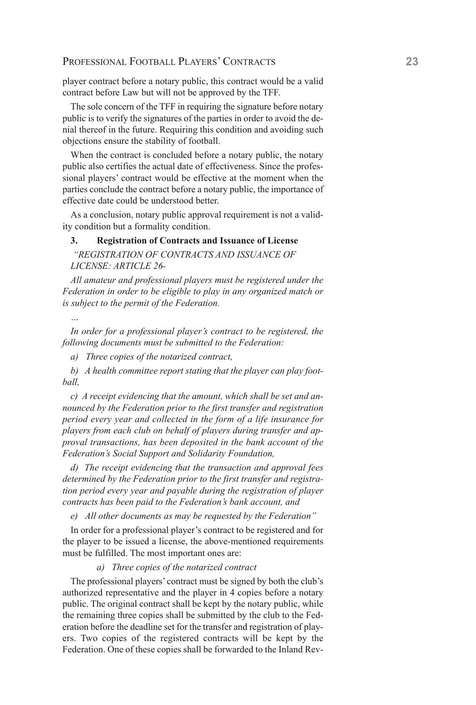# PROFESSIONAL FOOTBALL PLAYERS' CONTRACTS **23**

player contract before a notary public, this contract would be a valid contract before Law but will not be approved by the TFF.

The sole concern of the TFF in requiring the signature before notary public is to verify the signatures of the parties in order to avoid the denial thereof in the future. Requiring this condition and avoiding such objections ensure the stability of football.

When the contract is concluded before a notary public, the notary public also certifies the actual date of effectiveness. Since the professional players' contract would be effective at the moment when the parties conclude the contract before a notary public, the importance of effective date could be understood better.

As a conclusion, notary public approval requirement is not a validity condition but a formality condition.

## **3. Registration of Contracts and Issuance of License**

*"REGISTRATION OF CONTRACTS AND ISSUANCE OF LICENSE: ARTICLE 26-*

*All amateur and professional players must be registered under the Federation in order to be eligible to play in any organized match or is subject to the permit of the Federation.*

*…*

*In order for a professional player's contract to be registered, the following documents must be submitted to the Federation:*

*a) Three copies of the notarized contract,*

*b) A health committee report stating that the player can play football,*

*c) A receipt evidencing that the amount, which shall be set and announced by the Federation prior to the first transfer and registration period every year and collected in the form of a life insurance for players from each club on behalf of players during transfer and approval transactions, has been deposited in the bank account of the Federation's Social Support and Solidarity Foundation,*

*d) The receipt evidencing that the transaction and approval fees determined by the Federation prior to the first transfer and registration period every year and payable during the registration of player contracts has been paid to the Federation's bank account, and*

*e) All other documents as may be requested by the Federation"*

In order for a professional player's contract to be registered and for the player to be issued a license, the above-mentioned requirements must be fulfilled. The most important ones are:

#### *a) Three copies of the notarized contract*

The professional players' contract must be signed by both the club's authorized representative and the player in 4 copies before a notary public. The original contract shall be kept by the notary public, while the remaining three copies shall be submitted by the club to the Federation before the deadline set for the transfer and registration of players. Two copies of the registered contracts will be kept by the Federation. One of these copies shall be forwarded to the Inland Rev-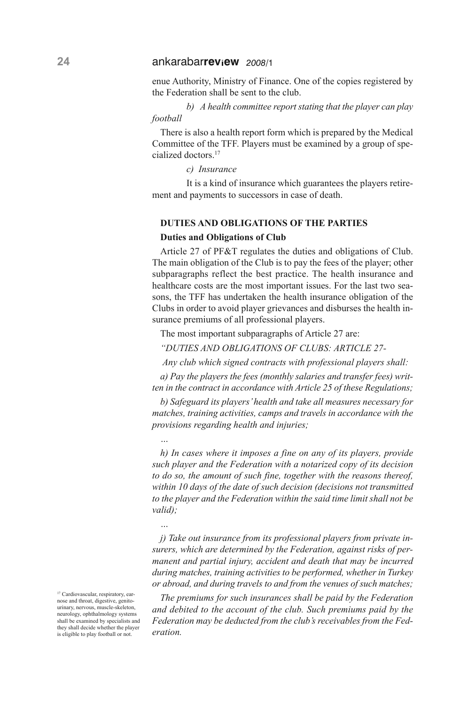enue Authority, Ministry of Finance. One of the copies registered by the Federation shall be sent to the club.

*b) A health committee report stating that the player can play football*

There is also a health report form which is prepared by the Medical Committee of the TFF. Players must be examined by a group of specialized doctors. 17

*c) Insurance*

It is a kind of insurance which guarantees the players retirement and payments to successors in case of death.

#### **DUTIES AND OBLIGATIONS Of THE pARTIES**

#### **Duties and Obligations of Club**

*…*

*…*

Article 27 of PF&T regulates the duties and obligations of Club. The main obligation of the Club is to pay the fees of the player; other subparagraphs reflect the best practice. The health insurance and healthcare costs are the most important issues. For the last two seasons, the TFF has undertaken the health insurance obligation of the Clubs in order to avoid player grievances and disburses the health insurance premiums of all professional players.

The most important subparagraphs of Article 27 are:

*"DUTIES AND OBLIGATIONS OF CLUBS: ARTICLE 27-*

*Any club which signed contracts with professional players shall:*

*a) Pay the players the fees (monthly salaries and transfer fees) written in the contract in accordance with Article 25 of these Regulations;*

*b) Safeguard its players'health and take all measures necessary for matches, training activities, camps and travels in accordance with the provisions regarding health and injuries;*

*h) In cases where it imposes a fine on any of its players, provide such player and the Federation with a notarized copy of its decision to do so, the amount of such fine, together with the reasons thereof, within 10 days of the date of such decision (decisions not transmitted to the player and the Federation within the said time limit shall not be valid);*

*j) Take out insurance from its professional players from private insurers, which are determined by the Federation, against risks of permanent and partial injury, accident and death that may be incurred during matches, training activities to be performed, whether in Turkey or abroad, and during travels to and from the venues of such matches;*

*The premiums for such insurances shall be paid by the Federation and debited to the account of the club. Such premiums paid by the Federation may be deducted from the club's receivables from the Federation.*

<sup>17</sup> Cardiovascular, respiratory, earnose and throat, digestive, genitourinary, nervous, muscle-skeleton, neurology, ophthalmology systems shall be examined by specialists and they shall decide whether the player is eligible to play football or not.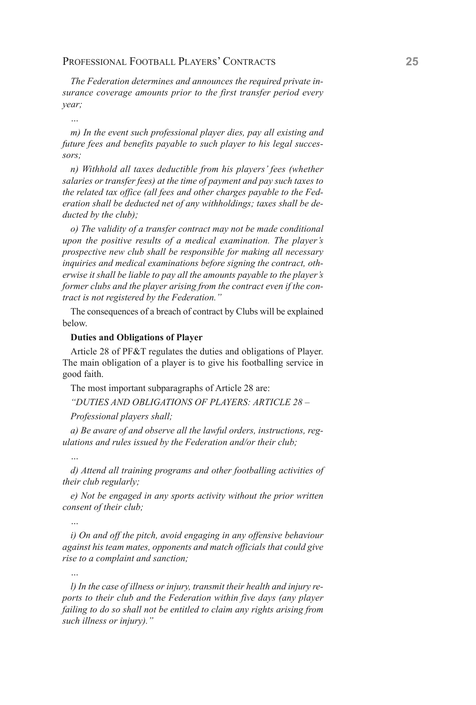# PROFESSIONAL FOOTBALL PLAYERS' CONTRACTS **25**

*The Federation determines and announces the required private insurance coverage amounts prior to the first transfer period every year;*

*…*

*m) In the event such professional player dies, pay all existing and future fees and benefits payable to such player to his legal successors;*

*n) Withhold all taxes deductible from his players' fees (whether salaries or transfer fees) at the time of payment and pay such taxes to the related tax office (all fees and other charges payable to the Federation shall be deducted net of any withholdings; taxes shall be deducted by the club);*

*o) The validity of a transfer contract may not be made conditional upon the positive results of a medical examination. The player's prospective new club shall be responsible for making all necessary inquiries and medical examinations before signing the contract, otherwise it shall be liable to pay all the amounts payable to the player's former clubs and the player arising from the contract even if the contract is not registered by the Federation."*

The consequences of a breach of contract by Clubs will be explained below.

#### **Duties and Obligations of player**

Article 28 of PF&T regulates the duties and obligations of Player. The main obligation of a player is to give his footballing service in good faith.

The most important subparagraphs of Article 28 are:

*"DUTIES AND OBLIGATIONS OF PLAYERS: ARTICLE 28 –*

*Professional players shall;*

*a) Be aware of and observe all the lawful orders, instructions, regulations and rules issued by the Federation and/or their club;*

# *…*

*d) Attend all training programs and other footballing activities of their club regularly;*

*e) Not be engaged in any sports activity without the prior written consent of their club;*

*i) On and off the pitch, avoid engaging in any offensive behaviour against his team mates, opponents and match officials that could give rise to a complaint and sanction;*

*…*

*…*

*l) In the case of illness or injury, transmit their health and injury reports to their club and the Federation within five days (any player failing to do so shall not be entitled to claim any rights arising from such illness or injury)."*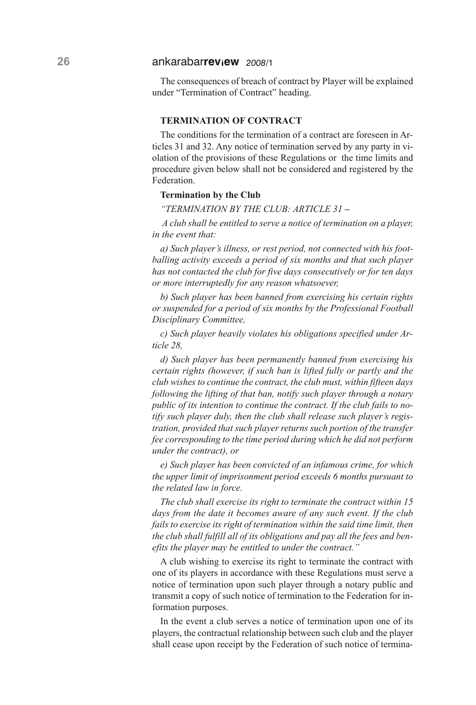The consequences of breach of contract by Player will be explained under "Termination of Contract" heading.

## **TERMINATION Of CONTRACT**

The conditions for the termination of a contract are foreseen in Articles 31 and 32. Any notice of termination served by any party in violation of the provisions of these Regulations or the time limits and procedure given below shall not be considered and registered by the Federation.

#### **Termination by the Club**

*"TERMINATION BY THE CLUB: ARTICLE 31 –*

*A club shall be entitled to serve a notice of termination on a player, in the event that:*

*a) Such player's illness, or rest period, not connected with his footballing activity exceeds a period of six months and that such player has not contacted the club for five days consecutively or for ten days or more interruptedly for any reason whatsoever,*

*b) Such player has been banned from exercising his certain rights or suspended for a period of six months by the Professional Football Disciplinary Committee,*

*c) Such player heavily violates his obligations specified under Article 28,*

*d) Such player has been permanently banned from exercising his certain rights (however, if such ban is lifted fully or partly and the club wishes to continue the contract, the club must, within fifteen days following the lifting of that ban, notify such player through a notary public of its intention to continue the contract. If the club fails to notify such player duly, then the club shall release such player's registration, provided that such player returns such portion of the transfer fee corresponding to the time period during which he did not perform under the contract), or*

*e) Such player has been convicted of an infamous crime, for which the upper limit of imprisonment period exceeds 6 months pursuant to the related law in force.*

*The club shall exercise its right to terminate the contract within 15 days from the date it becomes aware of any such event. If the club fails to exercise its right of termination within the said time limit, then the club shall fulfill all of its obligations and pay all the fees and benefits the player may be entitled to under the contract."*

A club wishing to exercise its right to terminate the contract with one of its players in accordance with these Regulations must serve a notice of termination upon such player through a notary public and transmit a copy of such notice of termination to the Federation for information purposes.

In the event a club serves a notice of termination upon one of its players, the contractual relationship between such club and the player shall cease upon receipt by the Federation of such notice of termina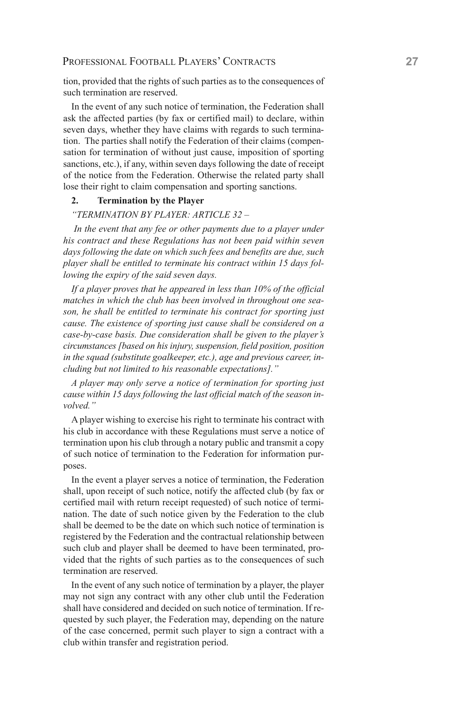tion, provided that the rights of such parties as to the consequences of such termination are reserved.

In the event of any such notice of termination, the Federation shall ask the affected parties (by fax or certified mail) to declare, within seven days, whether they have claims with regards to such termination. The parties shall notify the Federation of their claims (compensation for termination of without just cause, imposition of sporting sanctions, etc.), if any, within seven days following the date of receipt of the notice from the Federation. Otherwise the related party shall lose their right to claim compensation and sporting sanctions.

## **2. Termination by the player**

## *"TERMINATION BY PLAYER: ARTICLE 32 –*

*In the event that any fee or other payments due to a player under his contract and these Regulations has not been paid within seven days following the date on which such fees and benefits are due, such player shall be entitled to terminate his contract within 15 days following the expiry of the said seven days.*

*If a player proves that he appeared in less than 10% of the official matches in which the club has been involved in throughout one season, he shall be entitled to terminate his contract for sporting just cause. The existence of sporting just cause shall be considered on a case-by-case basis. Due consideration shall be given to the player's circumstances [based on his injury, suspension, field position, position in the squad (substitute goalkeeper, etc.), age and previous career, including but not limited to his reasonable expectations]."*

*A player may only serve a notice of termination for sporting just cause within 15 days following the last official match of the season involved."*

A player wishing to exercise his right to terminate his contract with his club in accordance with these Regulations must serve a notice of termination upon his club through a notary public and transmit a copy of such notice of termination to the Federation for information purposes.

In the event a player serves a notice of termination, the Federation shall, upon receipt of such notice, notify the affected club (by fax or certified mail with return receipt requested) of such notice of termination. The date of such notice given by the Federation to the club shall be deemed to be the date on which such notice of termination is registered by the Federation and the contractual relationship between such club and player shall be deemed to have been terminated, provided that the rights of such parties as to the consequences of such termination are reserved.

In the event of any such notice of termination by a player, the player may not sign any contract with any other club until the Federation shall have considered and decided on such notice of termination. If requested by such player, the Federation may, depending on the nature of the case concerned, permit such player to sign a contract with a club within transfer and registration period.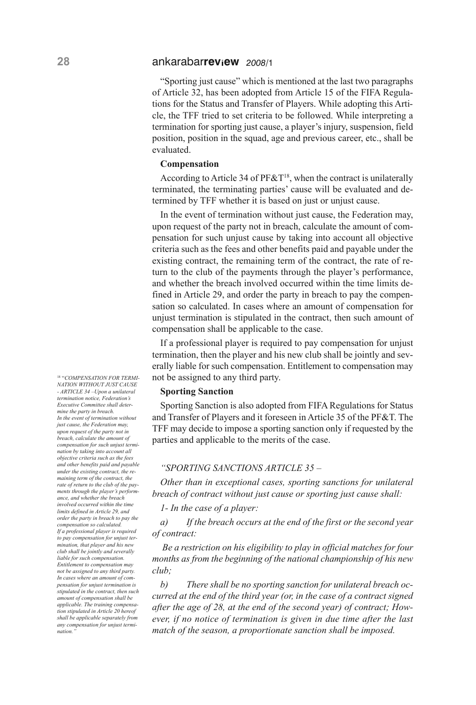"Sporting just cause" which is mentioned at the last two paragraphs of Article 32, has been adopted from Article 15 of the FIFA Regulations for the Status and Transfer of Players. While adopting this Article, the TFF tried to set criteria to be followed. While interpreting a termination for sporting just cause, a player's injury, suspension, field position, position in the squad, age and previous career, etc., shall be evaluated.

#### **Compensation**

According to Article 34 of  $P F \& T^{18}$ , when the contract is unilaterally terminated, the terminating parties' cause will be evaluated and determined by TFF whether it is based on just or unjust cause.

In the event of termination without just cause, the Federation may, upon request of the party not in breach, calculate the amount of compensation for such unjust cause by taking into account all objective criteria such as the fees and other benefits paid and payable under the existing contract, the remaining term of the contract, the rate of return to the club of the payments through the player's performance, and whether the breach involved occurred within the time limits defined in Article 29, and order the party in breach to pay the compensation so calculated. In cases where an amount of compensation for unjust termination is stipulated in the contract, then such amount of compensation shall be applicable to the case.

If a professional player is required to pay compensation for unjust termination, then the player and his new club shall be jointly and severally liable for such compensation. Entitlement to compensation may not be assigned to any third party.

### **Sporting Sanction**

Sporting Sanction is also adopted from FIFA Regulations for Status and Transfer of Players and it foreseen in Article 35 of the PF&T. The TFF may decide to impose a sporting sanction only if requested by the parties and applicable to the merits of the case.

#### *"SPORTING SANCTIONS ARTICLE 35 –*

*Other than in exceptional cases, sporting sanctions for unilateral breach of contract without just cause or sporting just cause shall:*

*1- In the case of a player:*

*a) If the breach occurs at the end of the first or the second year of contract:*

*Be a restriction on his eligibility to play in official matches for four months as from the beginning of the national championship of his new club;*

*b) There shall be no sporting sanction for unilateral breach occurred at the end of the third year (or, in the case of a contract signed after the age of 28, at the end of the second year) of contract; However, if no notice of termination is given in due time after the last match of the season, a proportionate sanction shall be imposed.*

<sup>18</sup> "*COMPENSATION FOR TERMI-NATION WITHOUT JUST CAUSE - ARTICLE 34 –Upon a unilateral termination notice, Federation's Executive Committee shall determine the party in breach. In the event of termination without just cause, the Federation may, upon request of the party not in breach, calculate the amount of compensation for such unjust termination by taking into account all objective criteria such as the fees and other benefits paid and payable under the existing contract, the remaining term of the contract, the rate of return to the club of the payments through the player's performance, and whether the breach involved occurred within the time limits defined in Article 29, and order the party in breach to pay the compensation so calculated. If a professional player is required to pay compensation for unjust termination, that player and his new club shall be jointly and severally liable for such compensation. Entitlement to compensation may not be assigned to any third party. In cases where an amount of compensation for unjust termination is stipulated in the contract, then such amount of compensation shall be applicable. The training compensation stipulated in Article 20 hereof shall be applicable separately from any compensation for unjust termination."*